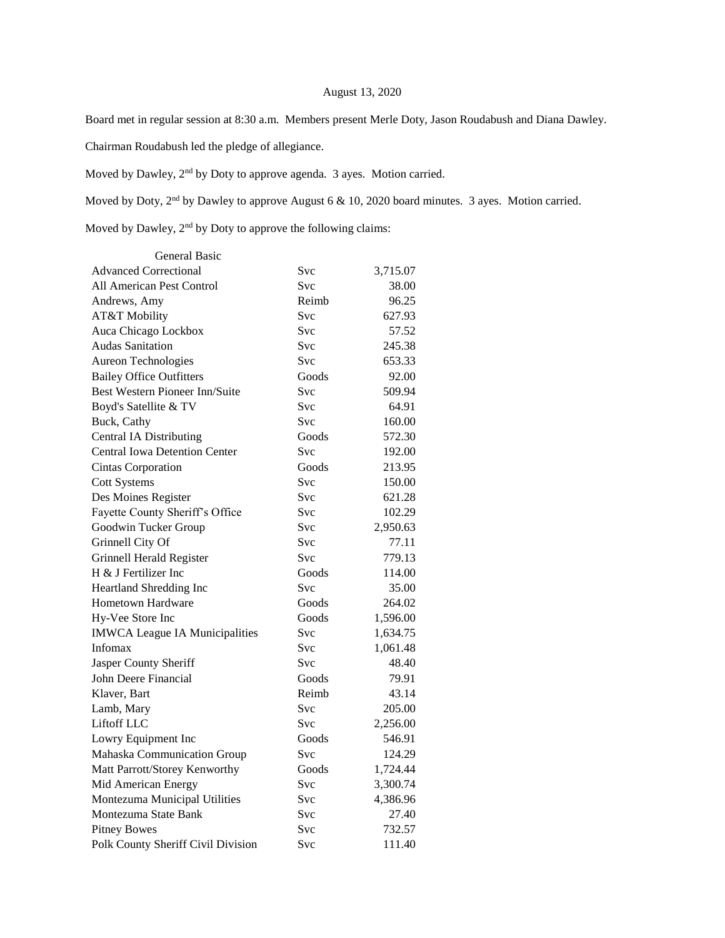## August 13, 2020

Board met in regular session at 8:30 a.m. Members present Merle Doty, Jason Roudabush and Diana Dawley.

Chairman Roudabush led the pledge of allegiance.

Moved by Dawley, 2nd by Doty to approve agenda. 3 ayes. Motion carried.

Moved by Doty, 2<sup>nd</sup> by Dawley to approve August 6 & 10, 2020 board minutes. 3 ayes. Motion carried.

Moved by Dawley, 2nd by Doty to approve the following claims:

| <b>General Basic</b>                  |            |          |
|---------------------------------------|------------|----------|
| <b>Advanced Correctional</b>          | Svc        | 3,715.07 |
| All American Pest Control             | Svc        | 38.00    |
| Andrews, Amy                          | Reimb      | 96.25    |
| AT&T Mobility                         | <b>Svc</b> | 627.93   |
| Auca Chicago Lockbox                  | Svc        | 57.52    |
| <b>Audas Sanitation</b>               | Svc        | 245.38   |
| Aureon Technologies                   | <b>Svc</b> | 653.33   |
| <b>Bailey Office Outfitters</b>       | Goods      | 92.00    |
| <b>Best Western Pioneer Inn/Suite</b> | <b>Svc</b> | 509.94   |
| Boyd's Satellite & TV                 | Svc        | 64.91    |
| Buck, Cathy                           | Svc        | 160.00   |
| <b>Central IA Distributing</b>        | Goods      | 572.30   |
| <b>Central Iowa Detention Center</b>  | Svc        | 192.00   |
| <b>Cintas Corporation</b>             | Goods      | 213.95   |
| <b>Cott Systems</b>                   | <b>Svc</b> | 150.00   |
| Des Moines Register                   | <b>Svc</b> | 621.28   |
| Fayette County Sheriff's Office       | Svc        | 102.29   |
| Goodwin Tucker Group                  | Svc        | 2,950.63 |
| Grinnell City Of                      | Svc        | 77.11    |
| Grinnell Herald Register              | Svc        | 779.13   |
| H & J Fertilizer Inc                  | Goods      | 114.00   |
| Heartland Shredding Inc               | Svc        | 35.00    |
| <b>Hometown Hardware</b>              | Goods      | 264.02   |
| Hy-Vee Store Inc                      | Goods      | 1,596.00 |
| <b>IMWCA League IA Municipalities</b> | Svc        | 1,634.75 |
| Infomax                               | Svc        | 1,061.48 |
| Jasper County Sheriff                 | <b>Svc</b> | 48.40    |
| John Deere Financial                  | Goods      | 79.91    |
| Klaver, Bart                          | Reimb      | 43.14    |
| Lamb, Mary                            | Svc        | 205.00   |
| Liftoff LLC                           | Svc        | 2,256.00 |
| Lowry Equipment Inc                   | Goods      | 546.91   |
| Mahaska Communication Group           | Svc        | 124.29   |
| Matt Parrott/Storey Kenworthy         | Goods      | 1,724.44 |
| Mid American Energy                   | <b>Svc</b> | 3,300.74 |
| Montezuma Municipal Utilities         | <b>Svc</b> | 4,386.96 |
| Montezuma State Bank                  | Svc        | 27.40    |
| <b>Pitney Bowes</b>                   | Svc        | 732.57   |
| Polk County Sheriff Civil Division    | Svc        | 111.40   |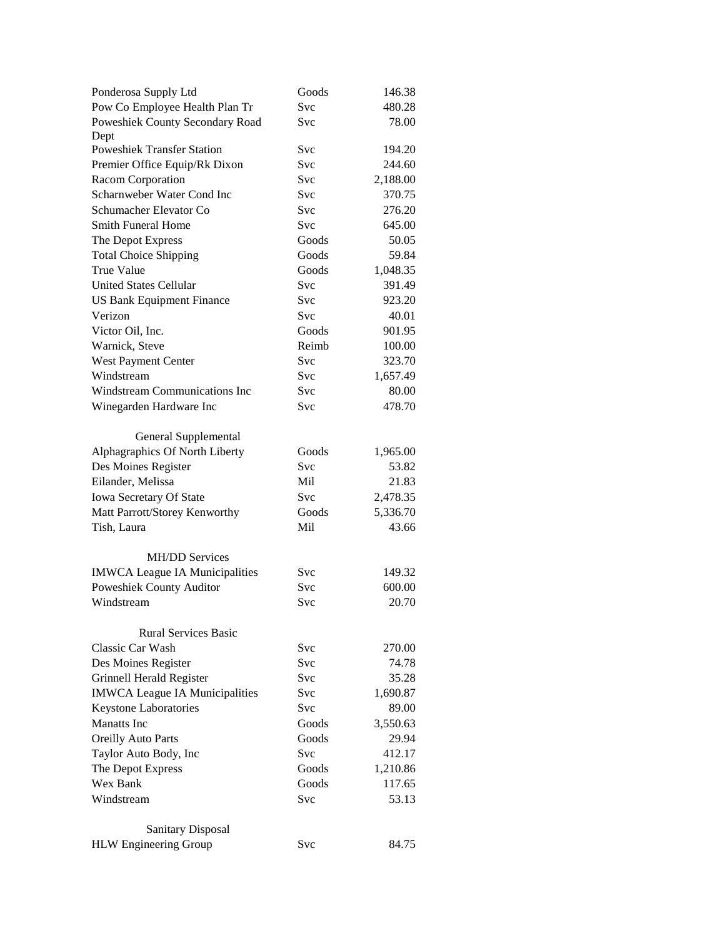| Ponderosa Supply Ltd                  | Goods      | 146.38   |
|---------------------------------------|------------|----------|
| Pow Co Employee Health Plan Tr        | <b>Svc</b> | 480.28   |
| Poweshiek County Secondary Road       | Svc        | 78.00    |
| Dept                                  |            |          |
| <b>Poweshiek Transfer Station</b>     | <b>Svc</b> | 194.20   |
| Premier Office Equip/Rk Dixon         | <b>Svc</b> | 244.60   |
| Racom Corporation                     | <b>Svc</b> | 2,188.00 |
| Scharnweber Water Cond Inc            | Svc        | 370.75   |
| Schumacher Elevator Co                | Svc        | 276.20   |
| <b>Smith Funeral Home</b>             | <b>Svc</b> | 645.00   |
| The Depot Express                     | Goods      | 50.05    |
| <b>Total Choice Shipping</b>          | Goods      | 59.84    |
| True Value                            | Goods      | 1,048.35 |
| <b>United States Cellular</b>         | Svc        | 391.49   |
| <b>US Bank Equipment Finance</b>      | Svc        | 923.20   |
| Verizon                               | Svc        | 40.01    |
| Victor Oil, Inc.                      | Goods      | 901.95   |
| Warnick, Steve                        | Reimb      | 100.00   |
| West Payment Center                   | <b>Svc</b> | 323.70   |
| Windstream                            | <b>Svc</b> | 1,657.49 |
| Windstream Communications Inc         | Svc        | 80.00    |
|                                       | <b>Svc</b> |          |
| Winegarden Hardware Inc               |            | 478.70   |
|                                       |            |          |
| General Supplemental                  |            |          |
| Alphagraphics Of North Liberty        | Goods      | 1,965.00 |
| Des Moines Register                   | <b>Svc</b> | 53.82    |
| Eilander, Melissa                     | Mil        | 21.83    |
| Iowa Secretary Of State               | Svc        | 2,478.35 |
| Matt Parrott/Storey Kenworthy         | Goods      | 5,336.70 |
| Tish, Laura                           | Mil        | 43.66    |
|                                       |            |          |
| <b>MH/DD Services</b>                 |            |          |
| <b>IMWCA League IA Municipalities</b> | Svc        | 149.32   |
| Poweshiek County Auditor              | Svc        | 600.00   |
| Windstream                            | <b>Svc</b> | 20.70    |
|                                       |            |          |
| <b>Rural Services Basic</b>           |            |          |
| Classic Car Wash                      | <b>Svc</b> | 270.00   |
| Des Moines Register                   | Svc.       | 74.78    |
| Grinnell Herald Register              | <b>Svc</b> | 35.28    |
| <b>IMWCA League IA Municipalities</b> | Svc        | 1,690.87 |
| <b>Keystone Laboratories</b>          | Svc        | 89.00    |
| <b>Manatts</b> Inc                    | Goods      | 3,550.63 |
| Oreilly Auto Parts                    | Goods      | 29.94    |
| Taylor Auto Body, Inc                 | <b>Svc</b> | 412.17   |
| The Depot Express                     | Goods      | 1,210.86 |
| Wex Bank                              | Goods      | 117.65   |
| Windstream                            | Svc        | 53.13    |
|                                       |            |          |
| <b>Sanitary Disposal</b>              |            |          |
| <b>HLW</b> Engineering Group          | Svc        | 84.75    |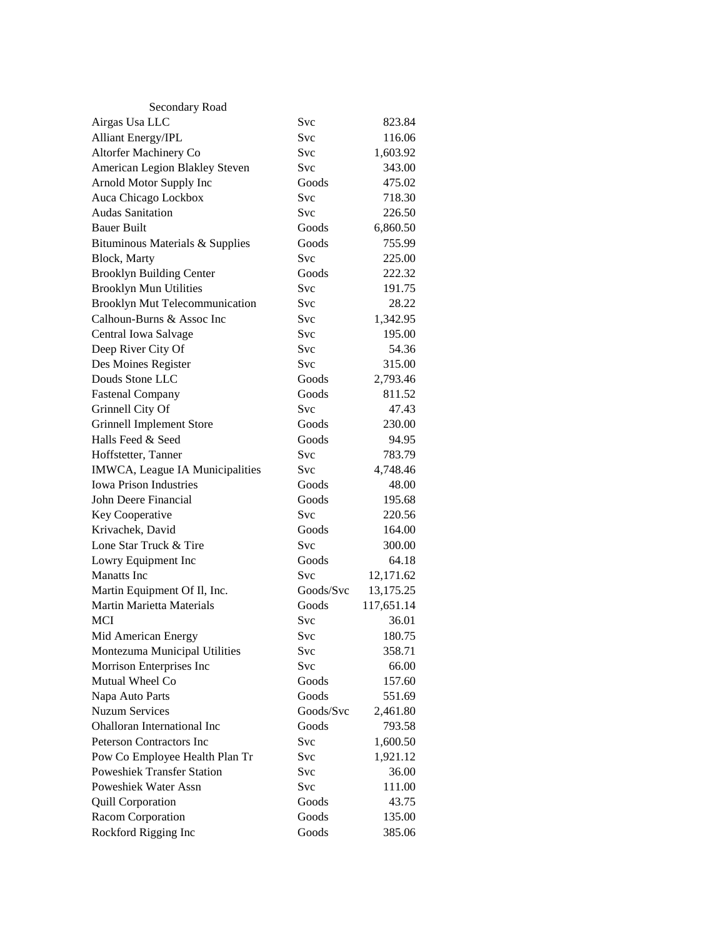| Secondary Road                        |            |            |
|---------------------------------------|------------|------------|
| Airgas Usa LLC                        | Svc        | 823.84     |
| <b>Alliant Energy/IPL</b>             | Svc        | 116.06     |
| Altorfer Machinery Co                 | Svc        | 1,603.92   |
| American Legion Blakley Steven        | Svc        | 343.00     |
| Arnold Motor Supply Inc               | Goods      | 475.02     |
| Auca Chicago Lockbox                  | <b>Svc</b> | 718.30     |
| <b>Audas Sanitation</b>               | <b>Svc</b> | 226.50     |
| <b>Bauer Built</b>                    | Goods      | 6,860.50   |
| Bituminous Materials & Supplies       | Goods      | 755.99     |
| Block, Marty                          | <b>Svc</b> | 225.00     |
| <b>Brooklyn Building Center</b>       | Goods      | 222.32     |
| <b>Brooklyn Mun Utilities</b>         | Svc        | 191.75     |
| <b>Brooklyn Mut Telecommunication</b> | Svc        | 28.22      |
| Calhoun-Burns & Assoc Inc             | Svc        | 1,342.95   |
| Central Iowa Salvage                  | Svc        | 195.00     |
| Deep River City Of                    | Svc        | 54.36      |
| Des Moines Register                   | Svc        | 315.00     |
| Douds Stone LLC                       | Goods      | 2,793.46   |
| <b>Fastenal Company</b>               | Goods      | 811.52     |
| Grinnell City Of                      | Svc        | 47.43      |
| <b>Grinnell Implement Store</b>       | Goods      | 230.00     |
| Halls Feed & Seed                     | Goods      | 94.95      |
| Hoffstetter, Tanner                   | <b>Svc</b> | 783.79     |
| IMWCA, League IA Municipalities       | <b>Svc</b> | 4,748.46   |
| <b>Iowa Prison Industries</b>         | Goods      | 48.00      |
| John Deere Financial                  | Goods      | 195.68     |
| Key Cooperative                       | <b>Svc</b> | 220.56     |
| Krivachek, David                      | Goods      | 164.00     |
| Lone Star Truck & Tire                | Svc        | 300.00     |
| Lowry Equipment Inc                   | Goods      | 64.18      |
| <b>Manatts</b> Inc                    | Svc        | 12,171.62  |
| Martin Equipment Of Il, Inc.          | Goods/Svc  | 13,175.25  |
| <b>Martin Marietta Materials</b>      | Goods      | 117,651.14 |
| MCI                                   | Svc        | 36.01      |
| Mid American Energy                   | Svc        | 180.75     |
| Montezuma Municipal Utilities         | Svc        | 358.71     |
| Morrison Enterprises Inc              | Svc        | 66.00      |
| Mutual Wheel Co                       | Goods      | 157.60     |
| Napa Auto Parts                       | Goods      | 551.69     |
| <b>Nuzum Services</b>                 | Goods/Svc  | 2,461.80   |
| <b>Ohalloran International Inc</b>    | Goods      | 793.58     |
| <b>Peterson Contractors Inc.</b>      | Svc        | 1,600.50   |
| Pow Co Employee Health Plan Tr        | Svc        | 1,921.12   |
| <b>Poweshiek Transfer Station</b>     | Svc        | 36.00      |
| Poweshiek Water Assn                  | Svc        | 111.00     |
| <b>Quill Corporation</b>              | Goods      | 43.75      |
| Racom Corporation                     | Goods      | 135.00     |
| Rockford Rigging Inc                  | Goods      | 385.06     |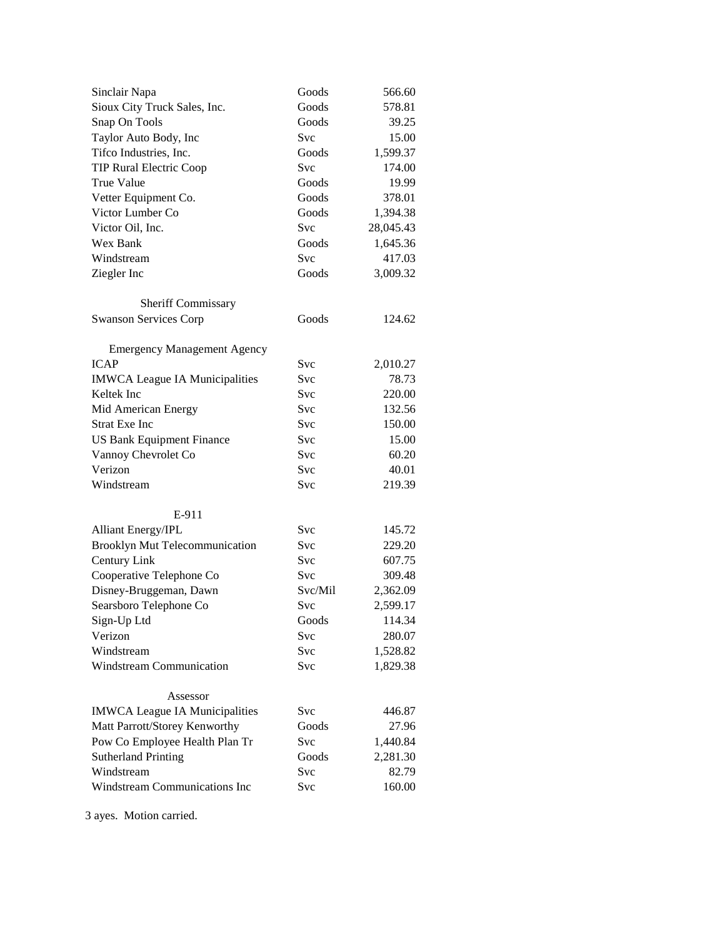| Sinclair Napa                         | Goods   | 566.60    |
|---------------------------------------|---------|-----------|
| Sioux City Truck Sales, Inc.          | Goods   | 578.81    |
| Snap On Tools                         | Goods   | 39.25     |
| Taylor Auto Body, Inc                 | Svc     | 15.00     |
| Tifco Industries, Inc.                | Goods   | 1,599.37  |
| <b>TIP Rural Electric Coop</b>        | Svc     | 174.00    |
| <b>True Value</b>                     | Goods   | 19.99     |
| Vetter Equipment Co.                  | Goods   | 378.01    |
| Victor Lumber Co                      | Goods   | 1,394.38  |
| Victor Oil, Inc.                      | Svc     | 28,045.43 |
| Wex Bank                              | Goods   | 1,645.36  |
| Windstream                            | Svc     | 417.03    |
| Ziegler Inc                           | Goods   | 3,009.32  |
| Sheriff Commissary                    |         |           |
| <b>Swanson Services Corp</b>          | Goods   | 124.62    |
|                                       |         |           |
| <b>Emergency Management Agency</b>    |         |           |
| <b>ICAP</b>                           | Svc     | 2,010.27  |
| <b>IMWCA League IA Municipalities</b> | Svc     | 78.73     |
| Keltek Inc                            | Svc     | 220.00    |
| Mid American Energy                   | Svc     | 132.56    |
| <b>Strat Exe Inc</b>                  | Svc     | 150.00    |
| <b>US Bank Equipment Finance</b>      | Svc     | 15.00     |
| Vannoy Chevrolet Co                   | Svc     | 60.20     |
| Verizon                               | Svc     | 40.01     |
| Windstream                            | Svc     | 219.39    |
| E-911                                 |         |           |
| <b>Alliant Energy/IPL</b>             | Svc     | 145.72    |
| Brooklyn Mut Telecommunication        | Svc     | 229.20    |
| Century Link                          | Svc     | 607.75    |
| Cooperative Telephone Co              | Svc     | 309.48    |
| Disney-Bruggeman, Dawn                | Svc/Mil | 2,362.09  |
| Searsboro Telephone Co                | Svc     | 2,599.17  |
| Sign-Up Ltd                           | Goods   | 114.34    |
| Verizon                               | Svc     | 280.07    |
| Windstream                            | Svc     | 1,528.82  |
| Windstream Communication              | Svc     | 1,829.38  |
| Assessor                              |         |           |
| <b>IMWCA League IA Municipalities</b> | Svc     | 446.87    |
| Matt Parrott/Storey Kenworthy         | Goods   | 27.96     |
| Pow Co Employee Health Plan Tr        | Svc     | 1,440.84  |
| <b>Sutherland Printing</b>            | Goods   | 2,281.30  |
| Windstream                            | Svc     | 82.79     |
| Windstream Communications Inc         | Svc     | 160.00    |
|                                       |         |           |

3 ayes. Motion carried.